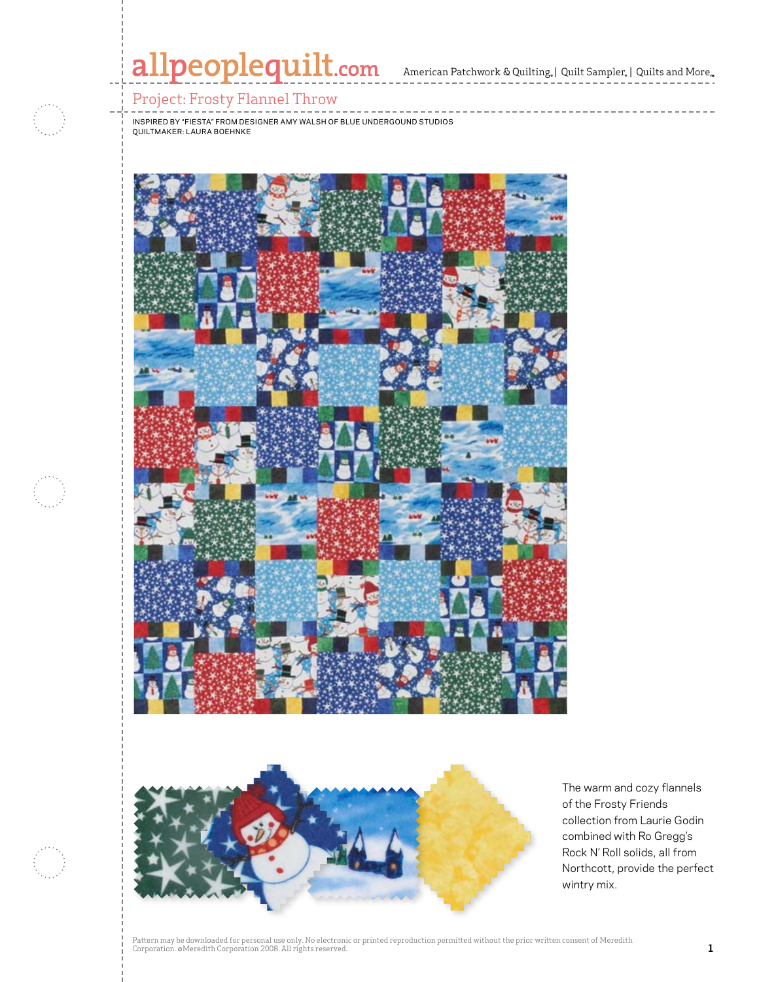# allpeoplequilt.com<br>American Patchwork & Quilting, | Quilt Sampler, | Quilts and More..

## Project: Frosty Flannel Throw

Inspired by "Fiesta" From Designer Amy Walsh of Blue undergound studios Quiltmaker: Laura Boehnke





The warm and cozy flannels of the Frosty Friends collection from Laurie Godin combined with Ro Gregg's Rock N' Roll solids, all from Northcott, provide the perfect wintry mix.

Pattern may be downloaded for personal use only. No electronic or printed reproduction permitted without the prior written consent of Meredith rattern ing ve townloaded to personan die our two eccupations of princed reproduction permitted without the prior written consent or recreating the Corporation. @Meredith Corporation 2008. All rights reserved.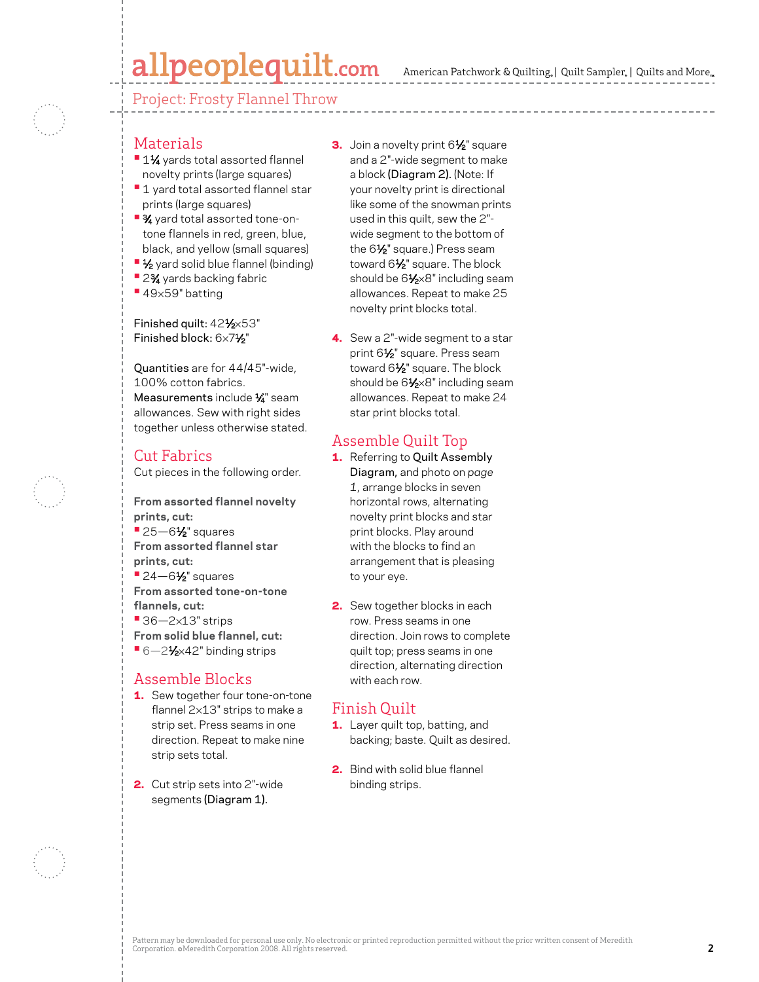## allpeoplequilt.com

American Patchwork & Quilting,  $|$  Quilt Sampler,  $|$  Quilts and More,

Project: Frosty Flannel Throw

### **Materials**

- **•** 1<sup>1</sup>⁄<sub>4</sub> yards total assorted flannel novelty prints (large squares)
- **•** 1 yard total assorted flannel star prints (large squares)
- **•** 3⁄4 yard total assorted tone-ontone flannels in red, green, blue, black, and yellow (small squares)
- **•** 1⁄2 yard solid blue flannel (binding)
- **•** 23⁄4 yards backing fabric
- **•** <sup>49</sup>×59" batting

Finished quilt: 421/2×53" Finished block: 6×71⁄2"

Quantities are for 44/45"-wide, 100% cotton fabrics. Measurements include 1/4" seam allowances. Sew with right sides together unless otherwise stated.

#### Cut Fabrics

Cut pieces in the following order.

**From assorted flannel novelty prints, cut: •** 25—61⁄2" squares **From assorted flannel star prints, cut: •** 24—61⁄2" squares **From assorted tone-on-tone flannels, cut: •** 36—2×13" strips **From solid blue flannel, cut:** ■ 6–2<sup>1</sup>⁄<sub>2×</sub>42" binding strips

### Assemble Blocks

- 1. Sew together four tone-on-tone flannel 2×13" strips to make a strip set. Press seams in one direction. Repeat to make nine strip sets total.
- 2. Cut strip sets into 2"-wide segments (Diagram 1).
- 3. Join a novelty print 61/<sub>2</sub>" square and a 2"-wide segment to make a block (Diagram 2). (Note: If your novelty print is directional like some of the snowman prints used in this quilt, sew the 2" wide segment to the bottom of the 61⁄2" square.) Press seam toward 61⁄2" square. The block should be 61⁄2×8" including seam allowances. Repeat to make 25 novelty print blocks total.
- 4. Sew a 2"-wide segment to a star print 61⁄2" square. Press seam toward 61/2" square. The block should be 61⁄2×8" including seam allowances. Repeat to make 24 star print blocks total.

### Assemble Quilt Top

- 1. Referring to Quilt Assembly Diagram, and photo on *page 1*, arrange blocks in seven horizontal rows, alternating novelty print blocks and star print blocks. Play around with the blocks to find an arrangement that is pleasing to your eye.
- 2. Sew together blocks in each row. Press seams in one direction. Join rows to complete quilt top; press seams in one direction, alternating direction with each row.

### Finish Quilt

- 1. Layer quilt top, batting, and backing; baste. Quilt as desired.
- 2. Bind with solid blue flannel binding strips.